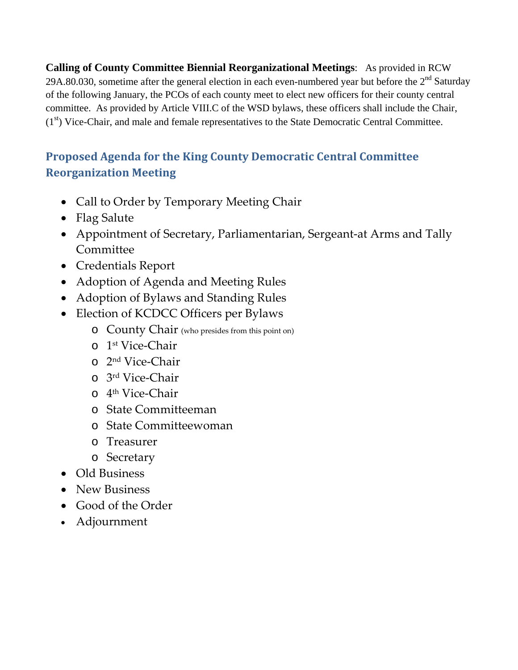**Calling of County Committee Biennial Reorganizational Meetings**: As provided in RCW 29A.80.030, sometime after the general election in each even-numbered year but before the  $2<sup>nd</sup>$  Saturday of the following January, the PCOs of each county meet to elect new officers for their county central committee. As provided by Article VIII.C of the WSD bylaws, these officers shall include the Chair,  $(1<sup>st</sup>)$  Vice-Chair, and male and female representatives to the State Democratic Central Committee.

### **Proposed Agenda for the King County Democratic Central Committee Reorganization Meeting**

- Call to Order by Temporary Meeting Chair
- Flag Salute
- Appointment of Secretary, Parliamentarian, Sergeant‐at Arms and Tally **Committee**
- Credentials Report
- Adoption of Agenda and Meeting Rules
- Adoption of Bylaws and Standing Rules
- Election of KCDCC Officers per Bylaws
	- o County Chair (who presides from this point on)
	- o 1st Vice‐Chair
	- o 2nd Vice‐Chair
	- o 3rd Vice‐Chair
	- o 4th Vice‐Chair
	- o State Committeeman
	- o State Committeewoman
	- o Treasurer
	- o Secretary
- Old Business
- New Business
- Good of the Order
- Adjournment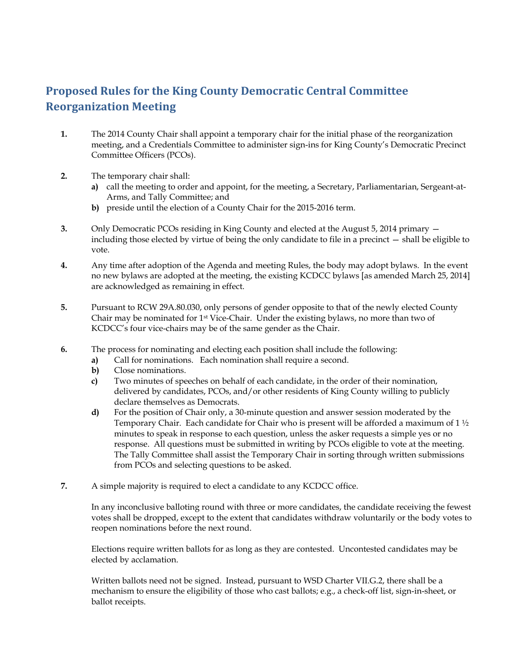### **Proposed Rules for the King County Democratic Central Committee Reorganization Meeting**

- **1.** The 2014 County Chair shall appoint a temporary chair for the initial phase of the reorganization meeting, and a Credentials Committee to administer sign-ins for King County's Democratic Precinct Committee Officers (PCOs).
- **2.** The temporary chair shall:
	- **a)** call the meeting to order and appoint, for the meeting, a Secretary, Parliamentarian, Sergeant-at-Arms, and Tally Committee; and
	- **b)** preside until the election of a County Chair for the 2015-2016 term.
- **3.** Only Democratic PCOs residing in King County and elected at the August 5, 2014 primary including those elected by virtue of being the only candidate to file in a precinct — shall be eligible to vote.
- **4.** Any time after adoption of the Agenda and meeting Rules, the body may adopt bylaws. In the event no new bylaws are adopted at the meeting, the existing KCDCC bylaws [as amended March 25, 2014] are acknowledged as remaining in effect.
- **5.** Pursuant to RCW 29A.80.030, only persons of gender opposite to that of the newly elected County Chair may be nominated for  $1<sup>st</sup>$  Vice-Chair. Under the existing bylaws, no more than two of KCDCC's four vice-chairs may be of the same gender as the Chair.
- **6.** The process for nominating and electing each position shall include the following:
	- **a)** Call for nominations. Each nomination shall require a second.
	- **b)** Close nominations.
	- **c)** Two minutes of speeches on behalf of each candidate, in the order of their nomination, delivered by candidates, PCOs, and/or other residents of King County willing to publicly declare themselves as Democrats.
	- **d)** For the position of Chair only, a 30-minute question and answer session moderated by the Temporary Chair. Each candidate for Chair who is present will be afforded a maximum of 1 ½ minutes to speak in response to each question, unless the asker requests a simple yes or no response. All questions must be submitted in writing by PCOs eligible to vote at the meeting. The Tally Committee shall assist the Temporary Chair in sorting through written submissions from PCOs and selecting questions to be asked.
- **7.** A simple majority is required to elect a candidate to any KCDCC office.

In any inconclusive balloting round with three or more candidates, the candidate receiving the fewest votes shall be dropped, except to the extent that candidates withdraw voluntarily or the body votes to reopen nominations before the next round.

Elections require written ballots for as long as they are contested. Uncontested candidates may be elected by acclamation.

Written ballots need not be signed. Instead, pursuant to WSD Charter VII.G.2, there shall be a mechanism to ensure the eligibility of those who cast ballots; e.g., a check-off list, sign-in-sheet, or ballot receipts.